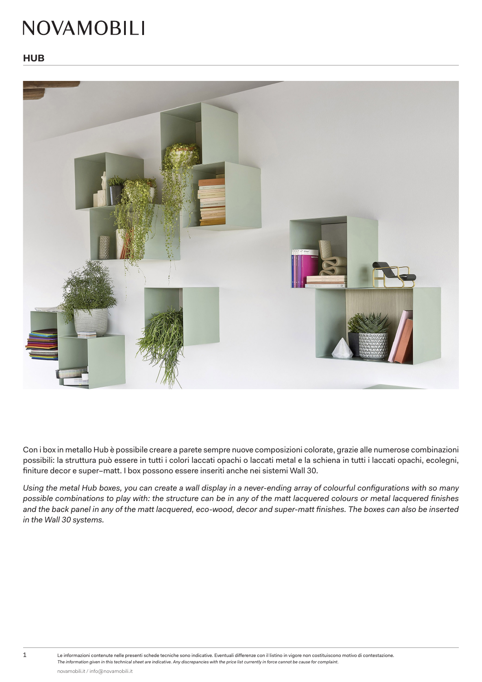## **NOVAMOBILI**



Con i box in metallo Hub è possibile creare a parete sempre nuove composizioni colorate, grazie alle numerose combinazioni possibili: la struttura può essere in tutti i colori laccati opachi o laccati metal e la schiena in tutti i laccati opachi, ecolegni, finiture decor e super-matt. I box possono essere inseriti anche nei sistemi Wall 30.

Using the metal Hub boxes, you can create a wall display in a never-ending array of colourful configurations with so many possible combinations to play with: the structure can be in any of the matt lacquered colours or metal lacquered finishes and the back panel in any of the matt lacquered, eco-wood, decor and super-matt finishes. The boxes can also be inserted *in the Wall 30 systems.*

1 Le informazioni contenute nelle presenti schede tecniche sono indicative. Eventuali differenze con il listino in vigore non costituiscono motivo di contestazione. *The information given in this technical sheet are indicative. Any discrepancies with the price list currently in force cannot be cause for complaint.*